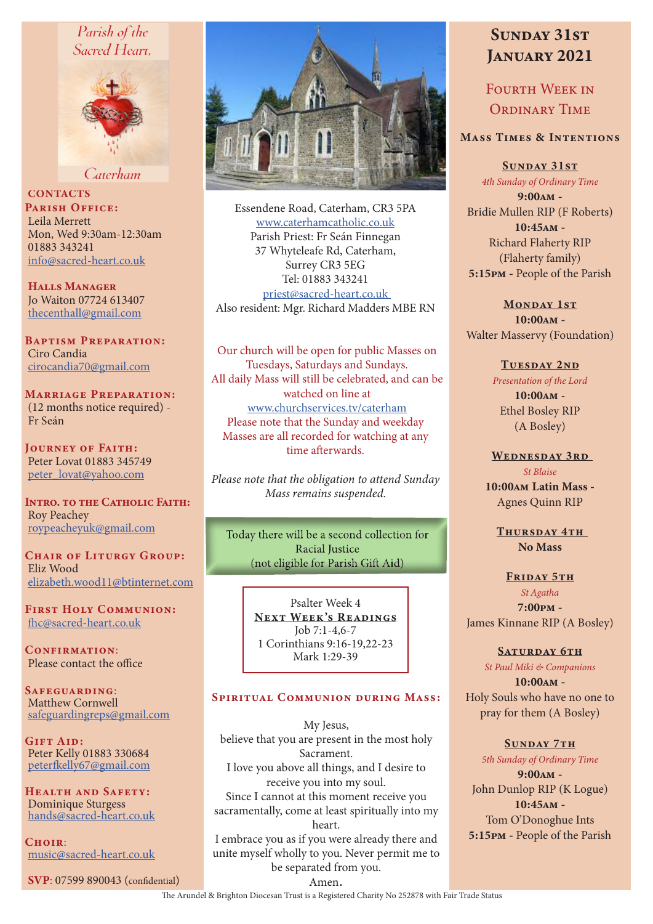# Parish of the Sacred Heart.



Caterham

**CONTACTS** PARISH OFFICE: Leila Merrett Mon, Wed 9:30am-12:30am 01883 343241 info@sacred-heart.co.uk

Halls Manager Jo Waiton 07724 613407 thecenthall@gmail.com

Baptism Preparation: Ciro Candia cirocandia70@gmail.com

Marriage Preparation: (12 months notice required) - Fr Seán

Journey of Faith: Peter Lovat 01883 345749 peter\_lovat@yahoo.com

INTRO. TO THE CATHOLIC FAITH: Roy Peachey roypeacheyuk@gmail.com

CHAIR OF LITURGY GROUP: Eliz Wood elizabeth.wood11@btinternet.com

First Holy Communion: fhc@sacred-heart.co.uk

CONFIRMATION: Please contact the office

SAFEGUARDING: Matthew Cornwell safeguardingreps@gmail.com

Gift Aid: Peter Kelly 01883 330684 peterfkelly67@gmail.com

Health and Safety: Dominique Sturgess hands@sacred-heart.co.uk

 $C$ HOIR $\cdot$ music@sacred-heart.co.uk

SVP: 07599 890043 (confidential)



Essendene Road, Caterham, CR3 5PA www.caterhamcatholic.co.uk Parish Priest: Fr Seán Finnegan 37 Whyteleafe Rd, Caterham, Surrey CR3 5EG Tel: 01883 343241 priest@sacred-heart.co.uk Also resident: Mgr. Richard Madders MBE RN

Our church will be open for public Masses on Tuesdays, Saturdays and Sundays. All daily Mass will still be celebrated, and can be watched on line at www.churchservices.tv/caterham Please note that the Sunday and weekday Masses are all recorded for watching at any time afterwards.

*Please note that the obligation to attend Sunday Mass remains suspended.*

Today there will be a second collection for Racial Iustice (not eligible for Parish Gift Aid)

> Psalter Week 4 NEXT WEEK'S READINGS Job 7:1-4,6-7 1 Corinthians 9:16-19,22-23 Mark 1:29-39

# Spiritual Communion during Mass:

My Jesus, believe that you are present in the most holy Sacrament. I love you above all things, and I desire to receive you into my soul. Since I cannot at this moment receive you sacramentally, come at least spiritually into my heart. I embrace you as if you were already there and

unite myself wholly to you. Never permit me to be separated from you.

# SUNDAY 31ST JANUARY 2021

FOURTH WEEK IN ORDINARY TIME

# Mass Times & Intentions

Sunday 31st

*4th Sunday of Ordinary Time* 9:00am - Bridie Mullen RIP (F Roberts)  $10:45$  $\Delta M -$ Richard Flaherty RIP (Flaherty family) 5:15pm - People of the Parish

MONDAY 1ST 10:00am - Walter Masservy (Foundation)

### TUESDAY 2ND

*Presentation of the Lord*  $10:00$  $\Delta M -$ Ethel Bosley RIP (A Bosley)

WEDNESDAY 3RD *St Blaise* 10:00am Latin Mass - Agnes Quinn RIP

THURSDAY 4TH No Mass

# FRIDAY 5TH *St Agatha* 7:00pm - James Kinnane RIP (A Bosley)

SATURDAY 6TH

*St Paul Miki & Companions*

 $10:00AM -$ Holy Souls who have no one to pray for them (A Bosley)

SUNDAY 7TH *5th Sunday of Ordinary Time* 9:00am - John Dunlop RIP (K Logue) 10:45am - Tom O'Donoghue Ints 5:15pm - People of the Parish

Amen.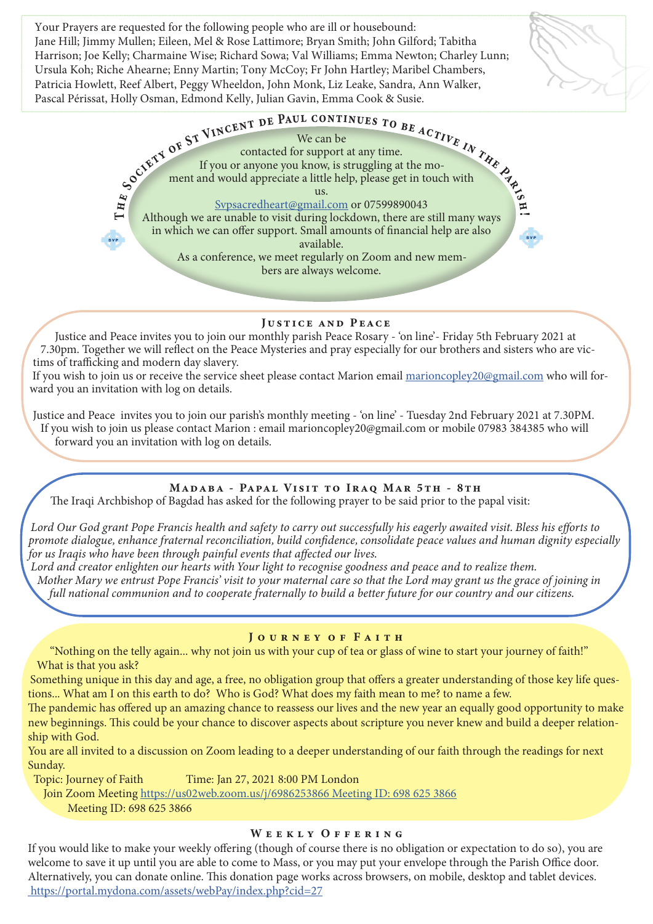Your Prayers are requested for the following people who are ill or housebound: Jane Hill; Jimmy Mullen; Eileen, Mel & Rose Lattimore; Bryan Smith; John Gilford; Tabitha Harrison; Joe Kelly; Charmaine Wise; Richard Sowa; Val Williams; Emma Newton; Charley Lunn; Ursula Koh; Riche Ahearne; Enny Martin; Tony McCoy; Fr John Hartley; Maribel Chambers, Patricia Howlett, Reef Albert, Peggy Wheeldon, John Monk, Liz Leake, Sandra, Ann Walker, Pascal Périssat, Holly Osman, Edmond Kelly, Julian Gavin, Emma Cook & Susie.





#### Justice and Peace

Justice and Peace invites you to join our monthly parish Peace Rosary - 'on line'- Friday 5th February 2021 at 7.30pm. Together we will reflect on the Peace Mysteries and pray especially for our brothers and sisters who are victims of trafficking and modern day slavery.

If you wish to join us or receive the service sheet please contact Marion email marioncopley20@gmail.com who will forward you an invitation with log on details.

Justice and Peace invites you to join our parish's monthly meeting - 'on line' - Tuesday 2nd February 2021 at 7.30PM. If you wish to join us please contact Marion : email marioncopley20@gmail.com or mobile 07983 384385 who will forward you an invitation with log on details.

# MADABA - PAPAL VISIT TO IRAQ MAR 5TH - 8TH

The Iraqi Archbishop of Bagdad has asked for the following prayer to be said prior to the papal visit:

*Lord Our God grant Pope Francis health and safety to carry out successfully his eagerly awaited visit. Bless his efforts to promote dialogue, enhance fraternal reconciliation, build confidence, consolidate peace values and human dignity especially for us Iraqis who have been through painful events that affected our lives.*

*Lord and creator enlighten our hearts with Your light to recognise goodness and peace and to realize them.*

*Mother Mary we entrust Pope Francis' visit to your maternal care so that the Lord may grant us the grace of joining in full national communion and to cooperate fraternally to build a better future for our country and our citizens.*

#### JOURNEY OF FAITH

"Nothing on the telly again... why not join us with your cup of tea or glass of wine to start your journey of faith!" What is that you ask?

Something unique in this day and age, a free, no obligation group that offers a greater understanding of those key life questions... What am I on this earth to do? Who is God? What does my faith mean to me? to name a few.

The pandemic has offered up an amazing chance to reassess our lives and the new year an equally good opportunity to make new beginnings. This could be your chance to discover aspects about scripture you never knew and build a deeper relationship with God.

You are all invited to a discussion on Zoom leading to a deeper understanding of our faith through the readings for next Sunday.

Topic: Journey of Faith Time: Jan 27, 2021 8:00 PM London

Join Zoom Meeting https://us02web.zoom.us/j/6986253866 Meeting ID: 698 625 3866 Meeting ID: 698 625 3866

#### WEEKLY OFFERING

If you would like to make your weekly offering (though of course there is no obligation or expectation to do so), you are welcome to save it up until you are able to come to Mass, or you may put your envelope through the Parish Office door. Alternatively, you can donate online. This donation page works across browsers, on mobile, desktop and tablet devices. https://portal.mydona.com/assets/webPay/index.php?cid=27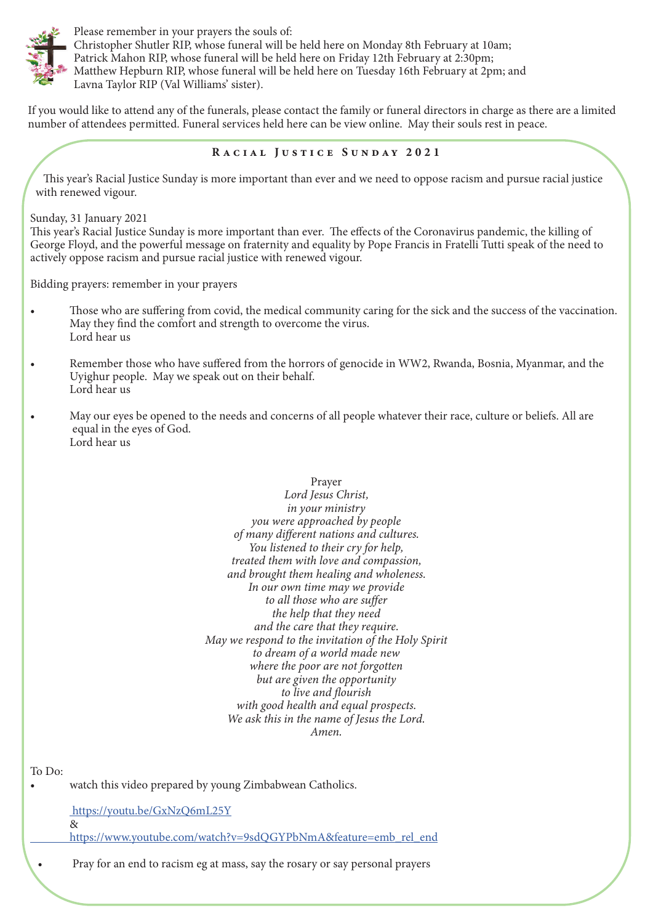

Please remember in your prayers the souls of: Christopher Shutler RIP, whose funeral will be held here on Monday 8th February at 10am; Patrick Mahon RIP, whose funeral will be held here on Friday 12th February at 2:30pm; Matthew Hepburn RIP, whose funeral will be held here on Tuesday 16th February at 2pm; and Lavna Taylor RIP (Val Williams' sister).

If you would like to attend any of the funerals, please contact the family or funeral directors in charge as there are a limited number of attendees permitted. Funeral services held here can be view online. May their souls rest in peace.

# Racial Justice Sunday 2021

This year's Racial Justice Sunday is more important than ever and we need to oppose racism and pursue racial justice with renewed vigour.

Sunday, 31 January 2021

This year's Racial Justice Sunday is more important than ever. The effects of the Coronavirus pandemic, the killing of George Floyd, and the powerful message on fraternity and equality by Pope Francis in Fratelli Tutti speak of the need to actively oppose racism and pursue racial justice with renewed vigour.

Bidding prayers: remember in your prayers

- Those who are suffering from covid, the medical community caring for the sick and the success of the vaccination. May they find the comfort and strength to overcome the virus. Lord hear us
- Remember those who have suffered from the horrors of genocide in WW2, Rwanda, Bosnia, Myanmar, and the Uyighur people. May we speak out on their behalf. Lord hear us
- May our eyes be opened to the needs and concerns of all people whatever their race, culture or beliefs. All are equal in the eyes of God. Lord hear us

### Prayer *Lord Jesus Christ, in your ministry you were approached by people of many different nations and cultures. You listened to their cry for help, treated them with love and compassion, and brought them healing and wholeness. In our own time may we provide to all those who are suffer the help that they need and the care that they require. May we respond to the invitation of the Holy Spirit to dream of a world made new where the poor are not forgotten but are given the opportunity to live and flourish with good health and equal prospects. We ask this in the name of Jesus the Lord. Amen.*

To Do:

watch this video prepared by young Zimbabwean Catholics.

 https://youtu.be/GxNzQ6mL25Y &

https://www.youtube.com/watch?v=9sdQGYPbNmA&feature=emb\_rel\_end

• Pray for an end to racism eg at mass, say the rosary or say personal prayers